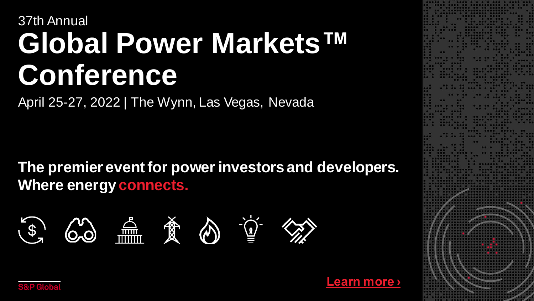## **Global Power Markets™ Conference** 37th Annual

April 25-27, 2022 | The Wynn, Las Vegas, Nevada

**The premier event for power investors and developers. Where energy connects.**





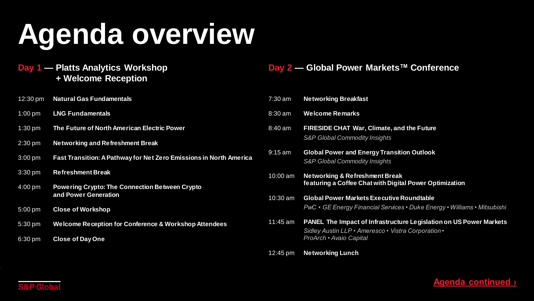# <span id="page-1-0"></span>**Agenda overview**

### **Day 1 — Platts Analytics Workshop + Welcome Reception**

- 12:30 pm **Natural Gas Fundamentals**
- 1:00 pm **LNG Fundamentals**
- 1:30 pm **The Future of North American Electric Power**
- 2:30 pm **Networking and Refreshment Break**
- 3:00 pm **Fast Transition: A Pathway for Net Zero Emissions in North America**
- 3:30 pm **Refreshment Break**
- 4:00 pm **Powering Crypto: The Connection Between Crypto and Power Generation**
- 5:00 pm **Close of Workshop**
- 5:30 pm **Welcome Reception for Conference & Workshop Attendees**
- 6:30 pm **Close of Day One**

### **Day 2 — Global Power Markets™ Conference**

7:30 am **Networking Breakfast** 8:30 am **Welcome Remarks** 8:40 am **FIRESIDE CHAT War, Climate, and the Future** *S&P Global Commodity Insights* 9:15 am **Global Power and Energy Transition Outlook** *S&P Global Commodity Insights* 10:00 am **Networking & Refreshment Break featuring a Coffee Chat with Digital Power Optimization** 10:30 am **Global Power Markets Executive Roundtable** *PwC • GE Energy Financial Services • Duke Energy • Williams • Mitsubishi* 11:45 am **PANEL The Impact of Infrastructure Legislation on US Power Markets**

> *Sidley Austin LLP • Ameresco • Vistra Corporation • ProArch • Avaio Capital*

12:45 pm **Networking Lunch**

### **[Agenda continued ›](#page-2-0)**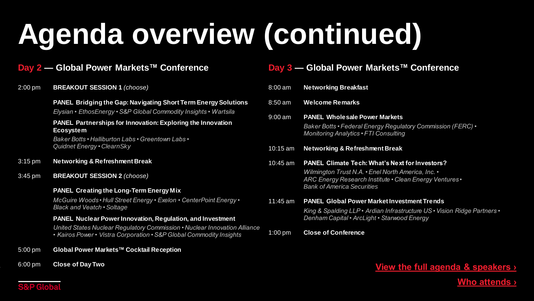# <span id="page-2-0"></span>**Agenda overview (continued)**

### **Day 2 — Global Power Markets™ Conference Day 3 — Global Power Markets™ Conference**

2:00 pm **BREAKOUT SESSION 1** *(choose)*

**PANEL Bridging the Gap: Navigating Short Term Energy Solutions** *Elysian • EthosEnergy • S&P Global Commodity Insights • Wartsila* **PANEL Partnerships for Innovation: Exploring the Innovation Ecosystem**

*Baker Botts • Halliburton Labs • Greentown Labs • Quidnet Energy • ClearnSky*

- 3:15 pm **Networking & Refreshment Break**
- 3:45 pm **BREAKOUT SESSION 2** *(choose)*

### **PANEL Creating the Long-Term Energy Mix**

*McGuire Woods • Hull Street Energy • Exelon • CenterPoint Energy • Black and Veatch • Soltage*

### **PANEL Nuclear Power Innovation, Regulation, and Investment**

*United States Nuclear Regulatory Commission • Nuclear Innovation Alliance • Kairos Power • Vistra Corporation • S&P Global Commodity Insights*

5:00 pm **Global Power Markets™ Cocktail Reception**

6:00 pm **Close of Day Two**

- 8:00 am **Networking Breakfast**
- 8:50 am **Welcome Remarks**
- 9:00 am **PANEL Wholesale Power Markets** *Baker Botts • Federal Energy Regulatory Commission (FERC) • Monitoring Analytics • FTI Consulting*
- 10:15 am **Networking & Refreshment Break**
- 10:45 am **PANEL Climate Tech: What's Next for Investors?** *Wilmington Trust N.A. • Enel North America, Inc. • ARC Energy Research Institute • Clean Energy Ventures • Bank of America Securities*
- 11:45 am **PANEL Global Power Market Investment Trends**

*King & Spalding LLP • Ardian Infrastructure US • Vision Ridge Partners • Denham Capital • ArcLight • Starwood Energy*

1:00 pm **Close of Conference**

**[View the full agenda & speakers ›](https://plattsinfo.spglobal.com/Global-Power-Markets-Conference.html#agenda)**



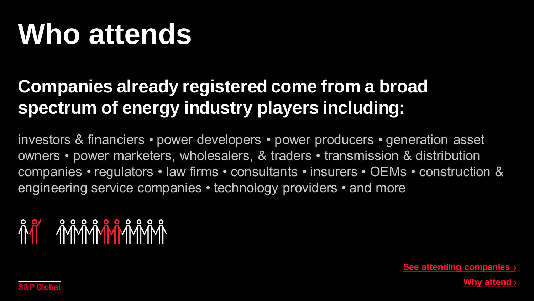# <span id="page-3-0"></span>**Who attends**

## **Companies already registered come from a broad spectrum of energy industry players including:**

investors & financiers • power developers • power producers • generation asset owners • power marketers, wholesalers, & traders • transmission & distribution companies • regulators • law firms • consultants • insurers • OEMs • construction & engineering service companies • technology providers • and more

## **An Anny Minimum**

**[See attending companies ›](https://plattsinfo.spglobal.com/rs/325-KYL-599/images/S%26P%20Global%20Power%20Markets%20Conference%20-%20Attending%20Companies.pdf) [Why attend ›](#page-4-0)**

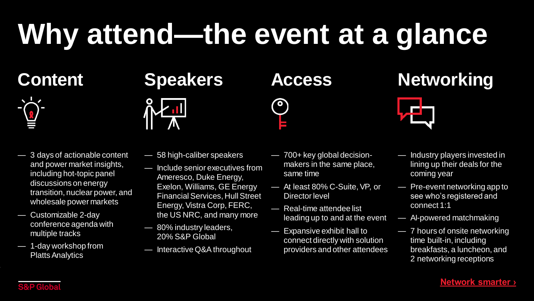# <span id="page-4-0"></span>**Why attend—the event at a glance**

## **Content**



- 3 days of actionable content and power market insights, including hot-topic panel discussions on energy transition, nuclear power, and wholesale power markets
- Customizable 2-day conference agenda with multiple tracks
- 1-day workshop from Platts Analytics

**S&P Global** 

**Speakers**



- 58 high-caliber speakers
- Include senior executives from Ameresco, Duke Energy, Exelon, Williams, GE Energy Financial Services, Hull Street Energy, Vistra Corp, FERC, the US NRC, and many more
- 80% industry leaders, 20% S&P Global
- Interactive Q&A throughout

— 700+ key global decisionmakers in the same place, same time

**Access**

- At least 80% C-Suite, VP, or Director level
- Real-time attendee list leading up to and at the event
- Expansive exhibit hall to connect directly with solution providers and other attendees

## **Networking**



- Industry players invested in lining up their deals for the coming year
- Pre-event networking app to see who's registered and connect 1:1
- AI-powered matchmaking
- 7 hours of onsite networking time built-in, including breakfasts, a luncheon, and 2 networking receptions

**[Network smarter ›](#page-5-0)**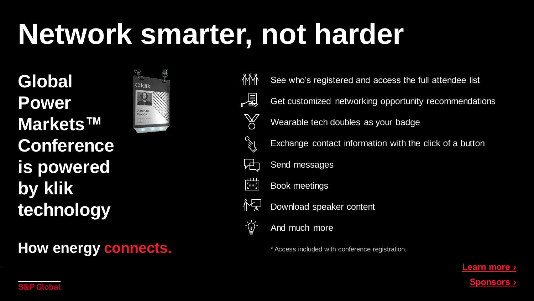# <span id="page-5-0"></span>**Network smarter, not harder**

**Global Power Markets™ Conference is powered by klik technology**

**How energy connects.**



**imi** See who's registered and access the full attendee list 园

Get customized networking opportunity recommendations

- Wearable tech doubles as your badge
- Chil

 $\frac{1}{\sqrt{2}}$ 

Exchange contact information with the click of a button

**[Sponsors ›](#page-6-0)**

**[Learn more ›](https://plattsinfo.spglobal.com/Global-Power-Markets-Conference.html)**

- 圮.
- 蘭

 $\frac{1}{\sqrt{2}}\sum_{n=1}^{n}$ 

Book meetings

Send messages

- ሱξ Download speaker content
	- And much more
		- \* Access included with conference registration.